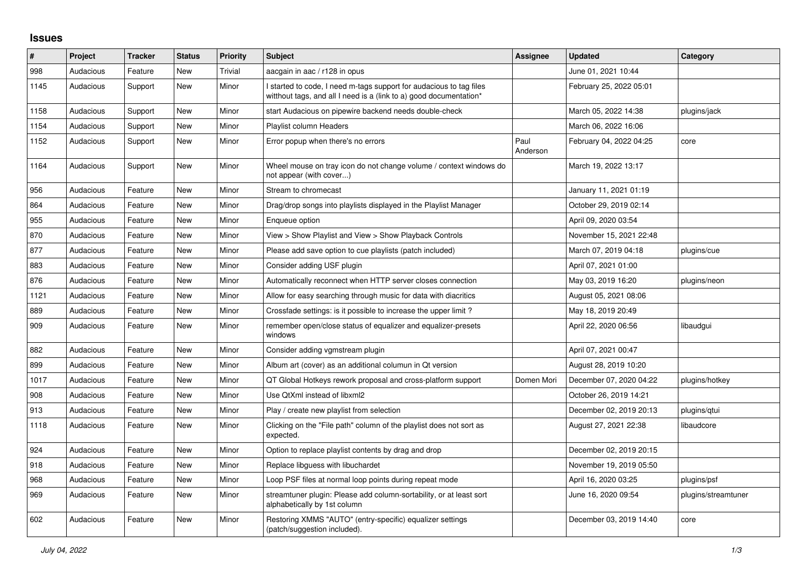## **Issues**

| #    | Project   | <b>Tracker</b> | <b>Status</b> | <b>Priority</b> | <b>Subject</b>                                                                                                                            | Assignee         | <b>Updated</b>          | Category            |
|------|-----------|----------------|---------------|-----------------|-------------------------------------------------------------------------------------------------------------------------------------------|------------------|-------------------------|---------------------|
| 998  | Audacious | Feature        | New           | Trivial         | aacgain in aac / r128 in opus                                                                                                             |                  | June 01, 2021 10:44     |                     |
| 1145 | Audacious | Support        | New           | Minor           | I started to code, I need m-tags support for audacious to tag files<br>witthout tags, and all I need is a (link to a) good documentation* |                  | February 25, 2022 05:01 |                     |
| 1158 | Audacious | Support        | <b>New</b>    | Minor           | start Audacious on pipewire backend needs double-check                                                                                    |                  | March 05, 2022 14:38    | plugins/jack        |
| 1154 | Audacious | Support        | <b>New</b>    | Minor           | <b>Playlist column Headers</b>                                                                                                            |                  | March 06, 2022 16:06    |                     |
| 1152 | Audacious | Support        | New           | Minor           | Error popup when there's no errors                                                                                                        | Paul<br>Anderson | February 04, 2022 04:25 | core                |
| 1164 | Audacious | Support        | New           | Minor           | Wheel mouse on tray icon do not change volume / context windows do<br>not appear (with cover)                                             |                  | March 19, 2022 13:17    |                     |
| 956  | Audacious | Feature        | <b>New</b>    | Minor           | Stream to chromecast                                                                                                                      |                  | January 11, 2021 01:19  |                     |
| 864  | Audacious | Feature        | <b>New</b>    | Minor           | Drag/drop songs into playlists displayed in the Playlist Manager                                                                          |                  | October 29, 2019 02:14  |                     |
| 955  | Audacious | Feature        | New           | Minor           | Enqueue option                                                                                                                            |                  | April 09, 2020 03:54    |                     |
| 870  | Audacious | Feature        | New           | Minor           | View > Show Playlist and View > Show Playback Controls                                                                                    |                  | November 15, 2021 22:48 |                     |
| 877  | Audacious | Feature        | New           | Minor           | Please add save option to cue playlists (patch included)                                                                                  |                  | March 07, 2019 04:18    | plugins/cue         |
| 883  | Audacious | Feature        | <b>New</b>    | Minor           | Consider adding USF plugin                                                                                                                |                  | April 07, 2021 01:00    |                     |
| 876  | Audacious | Feature        | New           | Minor           | Automatically reconnect when HTTP server closes connection                                                                                |                  | May 03, 2019 16:20      | plugins/neon        |
| 1121 | Audacious | Feature        | New           | Minor           | Allow for easy searching through music for data with diacritics                                                                           |                  | August 05, 2021 08:06   |                     |
| 889  | Audacious | Feature        | <b>New</b>    | Minor           | Crossfade settings: is it possible to increase the upper limit?                                                                           |                  | May 18, 2019 20:49      |                     |
| 909  | Audacious | Feature        | New           | Minor           | remember open/close status of equalizer and equalizer-presets<br>windows                                                                  |                  | April 22, 2020 06:56    | libaudgui           |
| 882  | Audacious | Feature        | <b>New</b>    | Minor           | Consider adding vgmstream plugin                                                                                                          |                  | April 07, 2021 00:47    |                     |
| 899  | Audacious | Feature        | New           | Minor           | Album art (cover) as an additional columun in Qt version                                                                                  |                  | August 28, 2019 10:20   |                     |
| 1017 | Audacious | Feature        | New           | Minor           | QT Global Hotkeys rework proposal and cross-platform support                                                                              | Domen Mori       | December 07, 2020 04:22 | plugins/hotkey      |
| 908  | Audacious | Feature        | New           | Minor           | Use QtXml instead of libxml2                                                                                                              |                  | October 26, 2019 14:21  |                     |
| 913  | Audacious | Feature        | New           | Minor           | Play / create new playlist from selection                                                                                                 |                  | December 02, 2019 20:13 | plugins/gtui        |
| 1118 | Audacious | Feature        | New           | Minor           | Clicking on the "File path" column of the playlist does not sort as<br>expected.                                                          |                  | August 27, 2021 22:38   | libaudcore          |
| 924  | Audacious | Feature        | New           | Minor           | Option to replace playlist contents by drag and drop                                                                                      |                  | December 02, 2019 20:15 |                     |
| 918  | Audacious | Feature        | <b>New</b>    | Minor           | Replace libguess with libuchardet                                                                                                         |                  | November 19, 2019 05:50 |                     |
| 968  | Audacious | Feature        | New           | Minor           | Loop PSF files at normal loop points during repeat mode                                                                                   |                  | April 16, 2020 03:25    | plugins/psf         |
| 969  | Audacious | Feature        | New           | Minor           | streamtuner plugin: Please add column-sortability, or at least sort<br>alphabetically by 1st column                                       |                  | June 16, 2020 09:54     | plugins/streamtuner |
| 602  | Audacious | Feature        | New           | Minor           | Restoring XMMS "AUTO" (entry-specific) equalizer settings<br>(patch/suggestion included).                                                 |                  | December 03, 2019 14:40 | core                |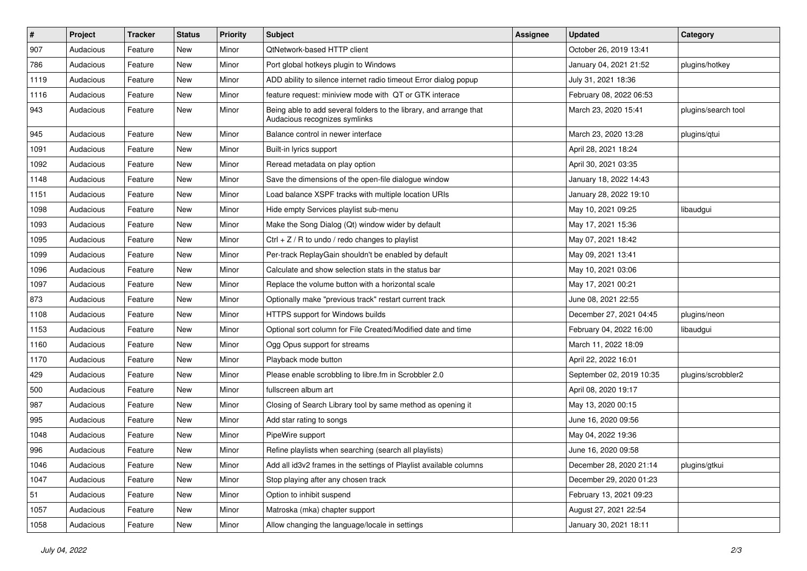| #    | Project   | <b>Tracker</b> | <b>Status</b> | <b>Priority</b> | Subject                                                                                             | <b>Assignee</b> | <b>Updated</b>           | Category            |
|------|-----------|----------------|---------------|-----------------|-----------------------------------------------------------------------------------------------------|-----------------|--------------------------|---------------------|
| 907  | Audacious | Feature        | New           | Minor           | QtNetwork-based HTTP client                                                                         |                 | October 26, 2019 13:41   |                     |
| 786  | Audacious | Feature        | New           | Minor           | Port global hotkeys plugin to Windows                                                               |                 | January 04, 2021 21:52   | plugins/hotkey      |
| 1119 | Audacious | Feature        | New           | Minor           | ADD ability to silence internet radio timeout Error dialog popup                                    |                 | July 31, 2021 18:36      |                     |
| 1116 | Audacious | Feature        | New           | Minor           | feature request: miniview mode with QT or GTK interace                                              |                 | February 08, 2022 06:53  |                     |
| 943  | Audacious | Feature        | New           | Minor           | Being able to add several folders to the library, and arrange that<br>Audacious recognizes symlinks |                 | March 23, 2020 15:41     | plugins/search tool |
| 945  | Audacious | Feature        | New           | Minor           | Balance control in newer interface                                                                  |                 | March 23, 2020 13:28     | plugins/qtui        |
| 1091 | Audacious | Feature        | New           | Minor           | Built-in lyrics support                                                                             |                 | April 28, 2021 18:24     |                     |
| 1092 | Audacious | Feature        | New           | Minor           | Reread metadata on play option                                                                      |                 | April 30, 2021 03:35     |                     |
| 1148 | Audacious | Feature        | New           | Minor           | Save the dimensions of the open-file dialogue window                                                |                 | January 18, 2022 14:43   |                     |
| 1151 | Audacious | Feature        | New           | Minor           | Load balance XSPF tracks with multiple location URIs                                                |                 | January 28, 2022 19:10   |                     |
| 1098 | Audacious | Feature        | New           | Minor           | Hide empty Services playlist sub-menu                                                               |                 | May 10, 2021 09:25       | libaudgui           |
| 1093 | Audacious | Feature        | New           | Minor           | Make the Song Dialog (Qt) window wider by default                                                   |                 | May 17, 2021 15:36       |                     |
| 1095 | Audacious | Feature        | New           | Minor           | $Ctrl + Z / R$ to undo / redo changes to playlist                                                   |                 | May 07, 2021 18:42       |                     |
| 1099 | Audacious | Feature        | New           | Minor           | Per-track ReplayGain shouldn't be enabled by default                                                |                 | May 09, 2021 13:41       |                     |
| 1096 | Audacious | Feature        | New           | Minor           | Calculate and show selection stats in the status bar                                                |                 | May 10, 2021 03:06       |                     |
| 1097 | Audacious | Feature        | New           | Minor           | Replace the volume button with a horizontal scale                                                   |                 | May 17, 2021 00:21       |                     |
| 873  | Audacious | Feature        | New           | Minor           | Optionally make "previous track" restart current track                                              |                 | June 08, 2021 22:55      |                     |
| 1108 | Audacious | Feature        | New           | Minor           | HTTPS support for Windows builds                                                                    |                 | December 27, 2021 04:45  | plugins/neon        |
| 1153 | Audacious | Feature        | New           | Minor           | Optional sort column for File Created/Modified date and time                                        |                 | February 04, 2022 16:00  | libaudgui           |
| 1160 | Audacious | Feature        | New           | Minor           | Ogg Opus support for streams                                                                        |                 | March 11, 2022 18:09     |                     |
| 1170 | Audacious | Feature        | New           | Minor           | Playback mode button                                                                                |                 | April 22, 2022 16:01     |                     |
| 429  | Audacious | Feature        | New           | Minor           | Please enable scrobbling to libre.fm in Scrobbler 2.0                                               |                 | September 02, 2019 10:35 | plugins/scrobbler2  |
| 500  | Audacious | Feature        | New           | Minor           | fullscreen album art                                                                                |                 | April 08, 2020 19:17     |                     |
| 987  | Audacious | Feature        | New           | Minor           | Closing of Search Library tool by same method as opening it                                         |                 | May 13, 2020 00:15       |                     |
| 995  | Audacious | Feature        | New           | Minor           | Add star rating to songs                                                                            |                 | June 16, 2020 09:56      |                     |
| 1048 | Audacious | Feature        | New           | Minor           | PipeWire support                                                                                    |                 | May 04, 2022 19:36       |                     |
| 996  | Audacious | Feature        | New           | Minor           | Refine playlists when searching (search all playlists)                                              |                 | June 16, 2020 09:58      |                     |
| 1046 | Audacious | Feature        | New           | Minor           | Add all id3v2 frames in the settings of Playlist available columns                                  |                 | December 28, 2020 21:14  | plugins/gtkui       |
| 1047 | Audacious | Feature        | New           | Minor           | Stop playing after any chosen track                                                                 |                 | December 29, 2020 01:23  |                     |
| 51   | Audacious | Feature        | New           | Minor           | Option to inhibit suspend                                                                           |                 | February 13, 2021 09:23  |                     |
| 1057 | Audacious | Feature        | New           | Minor           | Matroska (mka) chapter support                                                                      |                 | August 27, 2021 22:54    |                     |
| 1058 | Audacious | Feature        | New           | Minor           | Allow changing the language/locale in settings                                                      |                 | January 30, 2021 18:11   |                     |